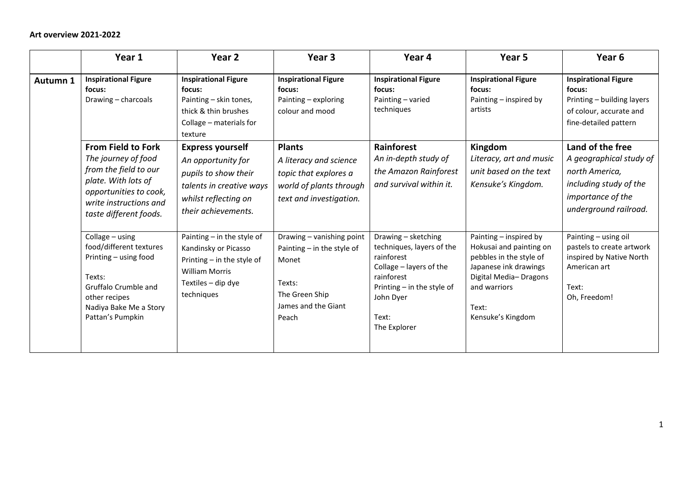|          | Year 1                                                                                                                                                                         | Year 2                                                                                                                                            | Year 3                                                                                                                         | Year 4                                                                                                                                                                        | Year 5                                                                                                                                                                       | Year <sub>6</sub>                                                                                                                     |
|----------|--------------------------------------------------------------------------------------------------------------------------------------------------------------------------------|---------------------------------------------------------------------------------------------------------------------------------------------------|--------------------------------------------------------------------------------------------------------------------------------|-------------------------------------------------------------------------------------------------------------------------------------------------------------------------------|------------------------------------------------------------------------------------------------------------------------------------------------------------------------------|---------------------------------------------------------------------------------------------------------------------------------------|
| Autumn 1 | <b>Inspirational Figure</b><br>focus:<br>Drawing - charcoals                                                                                                                   | <b>Inspirational Figure</b><br>focus:<br>Painting - skin tones,<br>thick & thin brushes<br>Collage - materials for<br>texture                     | <b>Inspirational Figure</b><br>focus:<br>Painting - exploring<br>colour and mood                                               | <b>Inspirational Figure</b><br>focus:<br>Painting - varied<br>techniques                                                                                                      | <b>Inspirational Figure</b><br>focus:<br>Painting - inspired by<br>artists                                                                                                   | <b>Inspirational Figure</b><br>focus:<br>Printing - building layers<br>of colour, accurate and<br>fine-detailed pattern               |
|          | <b>From Field to Fork</b><br>The journey of food<br>from the field to our<br>plate. With lots of<br>opportunities to cook,<br>write instructions and<br>taste different foods. | <b>Express yourself</b><br>An opportunity for<br>pupils to show their<br>talents in creative ways<br>whilst reflecting on<br>their achievements.  | <b>Plants</b><br>A literacy and science<br>topic that explores a<br>world of plants through<br>text and investigation.         | Rainforest<br>An in-depth study of<br>the Amazon Rainforest<br>and survival within it.                                                                                        | Kingdom<br>Literacy, art and music<br>unit based on the text<br>Kensuke's Kingdom.                                                                                           | Land of the free<br>A geographical study of<br>north America,<br>including study of the<br>importance of the<br>underground railroad. |
|          | Collage - using<br>food/different textures<br>Printing - using food<br>Texts:<br>Gruffalo Crumble and<br>other recipes<br>Nadiya Bake Me a Story<br>Pattan's Pumpkin           | Painting $-$ in the style of<br>Kandinsky or Picasso<br>Printing $-$ in the style of<br><b>William Morris</b><br>Textiles - dip dye<br>techniques | Drawing - vanishing point<br>Painting $-$ in the style of<br>Monet<br>Texts:<br>The Green Ship<br>James and the Giant<br>Peach | Drawing - sketching<br>techniques, layers of the<br>rainforest<br>Collage - layers of the<br>rainforest<br>Printing $-$ in the style of<br>John Dyer<br>Text:<br>The Explorer | Painting - inspired by<br>Hokusai and painting on<br>pebbles in the style of<br>Japanese ink drawings<br>Digital Media-Dragons<br>and warriors<br>Text:<br>Kensuke's Kingdom | Painting - using oil<br>pastels to create artwork<br>inspired by Native North<br>American art<br>Text:<br>Oh, Freedom!                |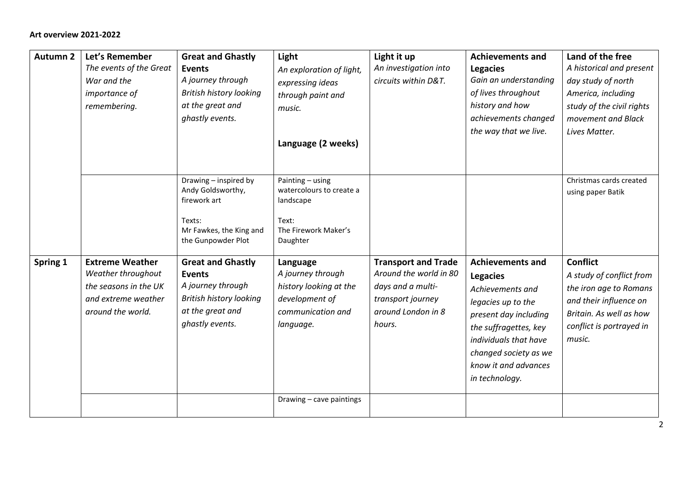| <b>Autumn 2</b> | Let's Remember<br>The events of the Great<br>War and the<br><i>importance of</i><br>remembering.                  | <b>Great and Ghastly</b><br><b>Events</b><br>A journey through<br><b>British history looking</b><br>at the great and<br>ghastly events. | Light<br>An exploration of light,<br>expressing ideas<br>through paint and<br>music.<br>Language (2 weeks)  | Light it up<br>An investigation into<br>circuits within D&T.                                                                   | <b>Achievements and</b><br><b>Legacies</b><br>Gain an understanding<br>of lives throughout<br>history and how<br>achievements changed<br>the way that we live.                                                                     | Land of the free<br>A historical and present<br>day study of north<br>America, including<br>study of the civil rights<br>movement and Black<br>Lives Matter.     |
|-----------------|-------------------------------------------------------------------------------------------------------------------|-----------------------------------------------------------------------------------------------------------------------------------------|-------------------------------------------------------------------------------------------------------------|--------------------------------------------------------------------------------------------------------------------------------|------------------------------------------------------------------------------------------------------------------------------------------------------------------------------------------------------------------------------------|------------------------------------------------------------------------------------------------------------------------------------------------------------------|
|                 |                                                                                                                   | Drawing - inspired by<br>Andy Goldsworthy,<br>firework art<br>Texts:<br>Mr Fawkes, the King and<br>the Gunpowder Plot                   | Painting - using<br>watercolours to create a<br>landscape<br>Text:<br>The Firework Maker's<br>Daughter      |                                                                                                                                |                                                                                                                                                                                                                                    | Christmas cards created<br>using paper Batik                                                                                                                     |
| Spring 1        | <b>Extreme Weather</b><br>Weather throughout<br>the seasons in the UK<br>and extreme weather<br>around the world. | <b>Great and Ghastly</b><br><b>Events</b><br>A journey through<br><b>British history looking</b><br>at the great and<br>ghastly events. | Language<br>A journey through<br>history looking at the<br>development of<br>communication and<br>language. | <b>Transport and Trade</b><br>Around the world in 80<br>days and a multi-<br>transport journey<br>around London in 8<br>hours. | <b>Achievements and</b><br><b>Legacies</b><br>Achievements and<br>legacies up to the<br>present day including<br>the suffragettes, key<br>individuals that have<br>changed society as we<br>know it and advances<br>in technology. | <b>Conflict</b><br>A study of conflict from<br>the iron age to Romans<br>and their influence on<br>Britain. As well as how<br>conflict is portrayed in<br>music. |
|                 |                                                                                                                   |                                                                                                                                         | Drawing - cave paintings                                                                                    |                                                                                                                                |                                                                                                                                                                                                                                    |                                                                                                                                                                  |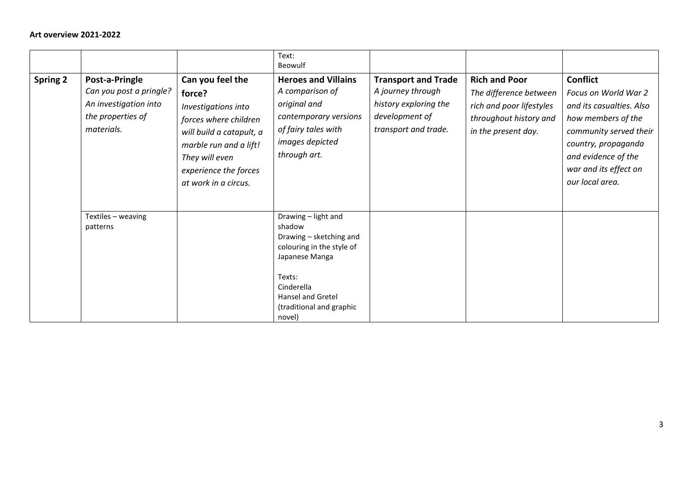|                 |                                                                                                       |                                                                                                                                                                                                     | Text:<br>Beowulf                                                                                                                                                                           |                                                                                                                    |                                                                                                                             |                                                                                                                                                                                                               |
|-----------------|-------------------------------------------------------------------------------------------------------|-----------------------------------------------------------------------------------------------------------------------------------------------------------------------------------------------------|--------------------------------------------------------------------------------------------------------------------------------------------------------------------------------------------|--------------------------------------------------------------------------------------------------------------------|-----------------------------------------------------------------------------------------------------------------------------|---------------------------------------------------------------------------------------------------------------------------------------------------------------------------------------------------------------|
| <b>Spring 2</b> | Post-a-Pringle<br>Can you post a pringle?<br>An investigation into<br>the properties of<br>materials. | Can you feel the<br>force?<br>Investigations into<br>forces where children<br>will build a catapult, a<br>marble run and a lift!<br>They will even<br>experience the forces<br>at work in a circus. | <b>Heroes and Villains</b><br>A comparison of<br>original and<br>contemporary versions<br>of fairy tales with<br>images depicted<br>through art.                                           | <b>Transport and Trade</b><br>A journey through<br>history exploring the<br>development of<br>transport and trade. | <b>Rich and Poor</b><br>The difference between<br>rich and poor lifestyles<br>throughout history and<br>in the present day. | <b>Conflict</b><br>Focus on World War 2<br>and its casualties. Also<br>how members of the<br>community served their<br>country, propaganda<br>and evidence of the<br>war and its effect on<br>our local area. |
|                 | Textiles - weaving<br>patterns                                                                        |                                                                                                                                                                                                     | Drawing - light and<br>shadow<br>Drawing - sketching and<br>colouring in the style of<br>Japanese Manga<br>Texts:<br>Cinderella<br>Hansel and Gretel<br>(traditional and graphic<br>novel) |                                                                                                                    |                                                                                                                             |                                                                                                                                                                                                               |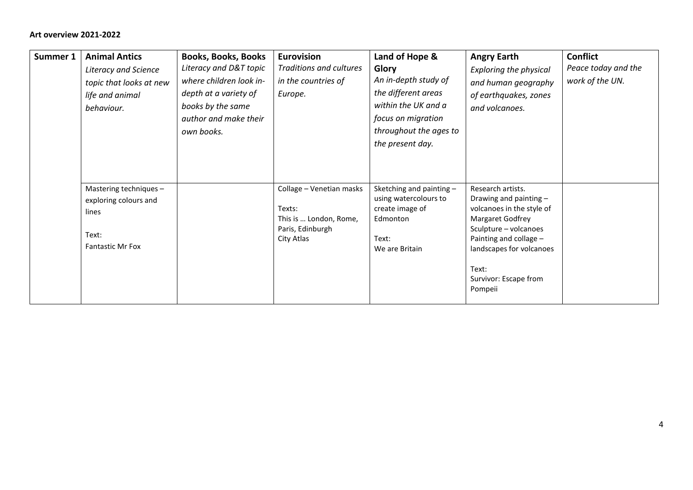| Summer 1 | <b>Animal Antics</b><br>Literacy and Science<br>topic that looks at new<br>life and animal<br>behaviour. | <b>Books, Books, Books</b><br>Literacy and D&T topic<br>where children look in-<br>depth at a variety of<br>books by the same<br>author and make their<br>own books. | <b>Eurovision</b><br>Traditions and cultures<br>in the countries of<br>Europe. | Land of Hope &<br>Glory<br>An in-depth study of<br>the different areas<br>within the UK and a<br>focus on migration<br>throughout the ages to | <b>Angry Earth</b><br><b>Exploring the physical</b><br>and human geography<br>of earthquakes, zones<br>and volcanoes.                                  | <b>Conflict</b><br>Peace today and the<br>work of the UN. |
|----------|----------------------------------------------------------------------------------------------------------|----------------------------------------------------------------------------------------------------------------------------------------------------------------------|--------------------------------------------------------------------------------|-----------------------------------------------------------------------------------------------------------------------------------------------|--------------------------------------------------------------------------------------------------------------------------------------------------------|-----------------------------------------------------------|
|          | Mastering techniques -                                                                                   |                                                                                                                                                                      | Collage - Venetian masks                                                       | the present day.<br>Sketching and painting -                                                                                                  | Research artists.                                                                                                                                      |                                                           |
|          | exploring colours and<br>lines<br>Text:<br><b>Fantastic Mr Fox</b>                                       |                                                                                                                                                                      | Texts:<br>This is  London, Rome,<br>Paris, Edinburgh<br>City Atlas             | using watercolours to<br>create image of<br>Edmonton<br>Text:<br>We are Britain                                                               | Drawing and painting -<br>volcanoes in the style of<br>Margaret Godfrey<br>Sculpture - volcanoes<br>Painting and collage -<br>landscapes for volcanoes |                                                           |
|          |                                                                                                          |                                                                                                                                                                      |                                                                                |                                                                                                                                               | Text:<br>Survivor: Escape from<br>Pompeii                                                                                                              |                                                           |